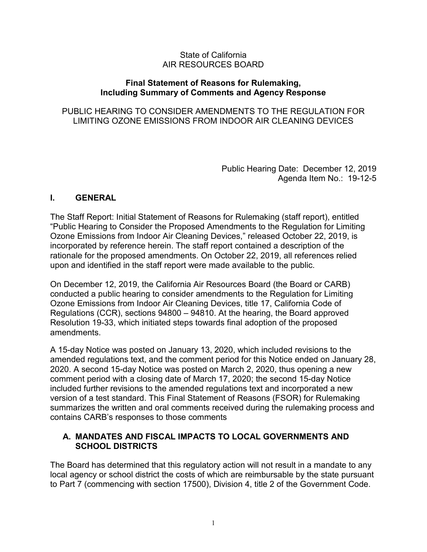#### State of California AIR RESOURCES BOARD

#### **Final Statement of Reasons for Rulemaking, Including Summary of Comments and Agency Response**

## PUBLIC HEARING TO CONSIDER AMENDMENTS TO THE REGULATION FOR LIMITING OZONE EMISSIONS FROM INDOOR AIR CLEANING DEVICES

 Public Hearing Date: December 12, 2019 Agenda Item No.: 19-12-5

#### **I. GENERAL**

The Staff Report: Initial Statement of Reasons for Rulemaking (staff report), entitled "Public Hearing to Consider the Proposed Amendments to the Regulation for Limiting Ozone Emissions from Indoor Air Cleaning Devices," released October 22, 2019, is incorporated by reference herein. The staff report contained a description of the rationale for the proposed amendments. On October 22, 2019, all references relied upon and identified in the staff report were made available to the public.

 Resolution 19-33, which initiated steps towards final adoption of the proposed amendments On December 12, 2019, the California Air Resources Board (the Board or CARB) conducted a public hearing to consider amendments to the Regulation for Limiting Ozone Emissions from Indoor Air Cleaning Devices, title 17, California Code of Regulations (CCR), sections 94800 – 94810. At the hearing, the Board approved

comment period with a closing date of March 17, 2020; the second 15-day Notice A 15-day Notice was posted on January 13, 2020, which included revisions to the amended regulations text, and the comment period for this Notice ended on January 28, 2020. A second 15-day Notice was posted on March 2, 2020, thus opening a new included further revisions to the amended regulations text and incorporated a new version of a test standard. This Final Statement of Reasons (FSOR) for Rulemaking summarizes the written and oral comments received during the rulemaking process and contains CARB's responses to those comments

### **A. MANDATES AND FISCAL IMPACTS TO LOCAL GOVERNMENTS AND SCHOOL DISTRICTS**

The Board has determined that this regulatory action will not result in a mandate to any local agency or school district the costs of which are reimbursable by the state pursuant to Part 7 (commencing with section 17500), Division 4, title 2 of the Government Code.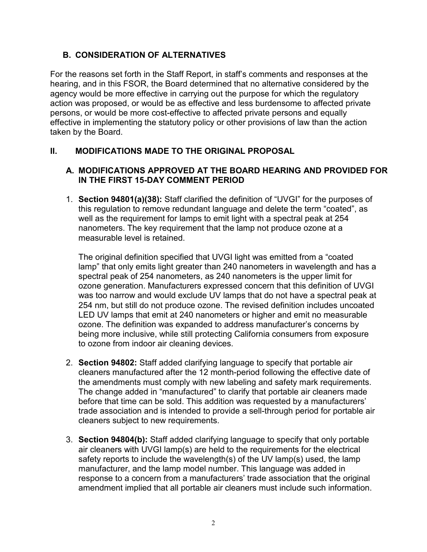# **B. CONSIDERATION OF ALTERNATIVES**

For the reasons set forth in the Staff Report, in staff's comments and responses at the hearing, and in this FSOR, the Board determined that no alternative considered by the agency would be more effective in carrying out the purpose for which the regulatory action was proposed, or would be as effective and less burdensome to affected private persons, or would be more cost-effective to affected private persons and equally effective in implementing the statutory policy or other provisions of law than the action taken by the Board.

# **II. MODIFICATIONS MADE TO THE ORIGINAL PROPOSAL**

## **A. MODIFICATIONS APPROVED AT THE BOARD HEARING AND PROVIDED FOR IN THE FIRST 15-DAY COMMENT PERIOD**

 well as the requirement for lamps to emit light with a spectral peak at 254 1. **Section 94801(a)(38):** Staff clarified the definition of "UVGI" for the purposes of this regulation to remove redundant language and delete the term "coated", as nanometers. The key requirement that the lamp not produce ozone at a measurable level is retained.

 lamp" that only emits light greater than 240 nanometers in wavelength and has a spectral peak of 254 nanometers, as 240 nanometers is the upper limit for was too narrow and would exclude UV lamps that do not have a spectral peak at LED UV lamps that emit at 240 nanometers or higher and emit no measurable being more inclusive, while still protecting California consumers from exposure The original definition specified that UVGI light was emitted from a "coated ozone generation. Manufacturers expressed concern that this definition of UVGI 254 nm, but still do not produce ozone. The revised definition includes uncoated ozone. The definition was expanded to address manufacturer's concerns by to ozone from indoor air cleaning devices.

- 2. **Section 94802:** Staff added clarifying language to specify that portable air the amendments must comply with new labeling and safety mark requirements. before that time can be sold. This addition was requested by a manufacturers' trade association and is intended to provide a sell-through period for portable air cleaners manufactured after the 12 month-period following the effective date of The change added in "manufactured" to clarify that portable air cleaners made cleaners subject to new requirements.
- air cleaners with UVGI lamp(s) are held to the requirements for the electrical response to a concern from a manufacturers' trade association that the original 3. **Section 94804(b):** Staff added clarifying language to specify that only portable safety reports to include the wavelength(s) of the UV lamp(s) used, the lamp manufacturer, and the lamp model number. This language was added in amendment implied that all portable air cleaners must include such information.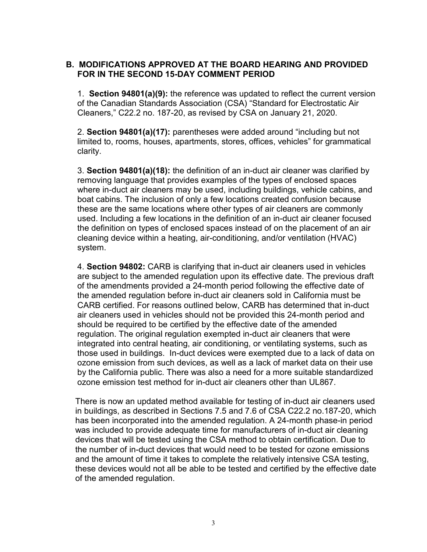## **B. MODIFICATIONS APPROVED AT THE BOARD HEARING AND PROVIDED FOR IN THE SECOND 15-DAY COMMENT PERIOD**

1. **Section 94801(a)(9):** the reference was updated to reflect the current version of the Canadian Standards Association (CSA) "Standard for Electrostatic Air Cleaners," C22.2 no. 187-20, as revised by CSA on January 21, 2020.

2. **Section 94801(a)(17):** parentheses were added around "including but not limited to, rooms, houses, apartments, stores, offices, vehicles" for grammatical clarity.

system. 3. **Section 94801(a)(18):** the definition of an in-duct air cleaner was clarified by removing language that provides examples of the types of enclosed spaces where in-duct air cleaners may be used, including buildings, vehicle cabins, and boat cabins. The inclusion of only a few locations created confusion because these are the same locations where other types of air cleaners are commonly used. Including a few locations in the definition of an in-duct air cleaner focused the definition on types of enclosed spaces instead of on the placement of an air cleaning device within a heating, air-conditioning, and/or ventilation (HVAC)

system.<br>4. **Section 94802:** CARB is clarifying that in-duct air cleaners used in vehicles those used in buildings. In-duct devices were exempted due to a lack of data on ozone emission from such devices, as well as a lack of market data on their use ozone emission test method for in-duct air cleaners other than UL867. are subject to the amended regulation upon its effective date. The previous draft of the amendments provided a 24-month period following the effective date of the amended regulation before in-duct air cleaners sold in California must be CARB certified. For reasons outlined below, CARB has determined that in-duct air cleaners used in vehicles should not be provided this 24-month period and should be required to be certified by the effective date of the amended regulation. The original regulation exempted in-duct air cleaners that were integrated into central heating, air conditioning, or ventilating systems, such as by the California public. There was also a need for a more suitable standardized

 was included to provide adequate time for manufacturers of in-duct air cleaning There is now an updated method available for testing of in-duct air cleaners used in buildings, as described in Sections 7.5 and 7.6 of CSA C22.2 no.187-20, which has been incorporated into the amended regulation. A 24-month phase-in period devices that will be tested using the CSA method to obtain certification. Due to the number of in-duct devices that would need to be tested for ozone emissions and the amount of time it takes to complete the relatively intensive CSA testing, these devices would not all be able to be tested and certified by the effective date of the amended regulation.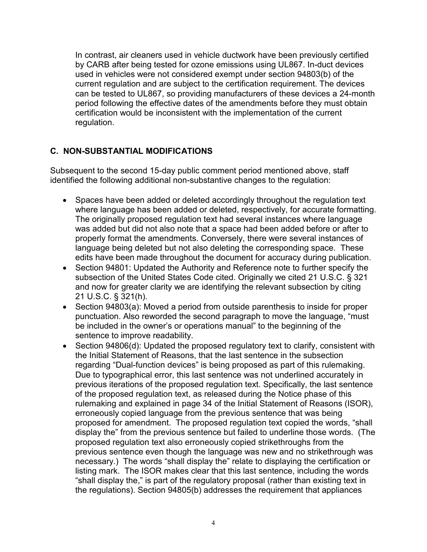by CARB after being tested for ozone emissions using UL867. In-duct devices In contrast, air cleaners used in vehicle ductwork have been previously certified used in vehicles were not considered exempt under section 94803(b) of the current regulation and are subject to the certification requirement. The devices can be tested to UL867, so providing manufacturers of these devices a 24-month period following the effective dates of the amendments before they must obtain certification would be inconsistent with the implementation of the current regulation.

## **C. NON-SUBSTANTIAL MODIFICATIONS**

Subsequent to the second 15-day public comment period mentioned above, staff identified the following additional non-substantive changes to the regulation:

- edits have been made throughout the document for accuracy during publication. • Spaces have been added or deleted accordingly throughout the regulation text where language has been added or deleted, respectively, for accurate formatting. The originally proposed regulation text had several instances where language was added but did not also note that a space had been added before or after to properly format the amendments. Conversely, there were several instances of language being deleted but not also deleting the corresponding space. These
- Section 94801: Updated the Authority and Reference note to further specify the subsection of the United States Code cited. Originally we cited 21 U.S.C. § 321 and now for greater clarity we are identifying the relevant subsection by citing 21 U.S.C. § 321(h).
- Section 94803(a): Moved a period from outside parenthesis to inside for proper punctuation. Also reworded the second paragraph to move the language, "must be included in the owner's or operations manual" to the beginning of the sentence to improve readability.
- regarding "Dual-function devices" is being proposed as part of this rulemaking. Due to typographical error, this last sentence was not underlined accurately in proposed for amendment. The proposed regulation text copied the words, "shall "shall display the," is part of the regulatory proposal (rather than existing text in the regulations). Section 94805(b) addresses the requirement that appliances • Section 94806(d): Updated the proposed regulatory text to clarify, consistent with the Initial Statement of Reasons, that the last sentence in the subsection previous iterations of the proposed regulation text. Specifically, the last sentence of the proposed regulation text, as released during the Notice phase of this rulemaking and explained in page 34 of the Initial Statement of Reasons (ISOR), erroneously copied language from the previous sentence that was being display the" from the previous sentence but failed to underline those words. (The proposed regulation text also erroneously copied strikethroughs from the previous sentence even though the language was new and no strikethrough was necessary.) The words "shall display the" relate to displaying the certification or listing mark. The ISOR makes clear that this last sentence, including the words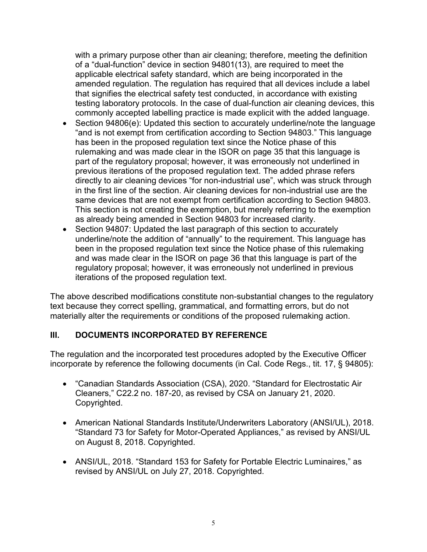commonly accepted labelling practice is made explicit with the added language. with a primary purpose other than air cleaning; therefore, meeting the definition of a "dual-function" device in section 94801(13), are required to meet the applicable electrical safety standard, which are being incorporated in the amended regulation. The regulation has required that all devices include a label that signifies the electrical safety test conducted, in accordance with existing testing laboratory protocols. In the case of dual-function air cleaning devices, this

- "and is not exempt from certification according to Section 94803." This language same devices that are not exempt from certification according to Section 94803. Section 94806(e): Updated this section to accurately underline/note the language has been in the proposed regulation text since the Notice phase of this rulemaking and was made clear in the ISOR on page 35 that this language is part of the regulatory proposal; however, it was erroneously not underlined in previous iterations of the proposed regulation text. The added phrase refers directly to air cleaning devices "for non-industrial use", which was struck through in the first line of the section. Air cleaning devices for non-industrial use are the This section is not creating the exemption, but merely referring to the exemption as already being amended in Section 94803 for increased clarity.
- Section 94807: Updated the last paragraph of this section to accurately underline/note the addition of "annually" to the requirement. This language has been in the proposed regulation text since the Notice phase of this rulemaking and was made clear in the ISOR on page 36 that this language is part of the regulatory proposal; however, it was erroneously not underlined in previous iterations of the proposed regulation text.

The above described modifications constitute non-substantial changes to the regulatory text because they correct spelling, grammatical, and formatting errors, but do not materially alter the requirements or conditions of the proposed rulemaking action.

## **III. DOCUMENTS INCORPORATED BY REFERENCE**

 incorporate by reference the following documents (in Cal. Code Regs., tit. 17, § 94805): The regulation and the incorporated test procedures adopted by the Executive Officer

- "Canadian Standards Association (CSA), 2020. "Standard for Electrostatic Air Cleaners," C22.2 no. 187-20, as revised by CSA on January 21, 2020. Copyrighted.
- American National Standards Institute/Underwriters Laboratory (ANSI/UL), 2018. "Standard 73 for Safety for Motor-Operated Appliances," as revised by ANSI/UL on August 8, 2018. Copyrighted.
- ANSI/UL, 2018. "Standard 153 for Safety for Portable Electric Luminaires," as revised by ANSI/UL on July 27, 2018. Copyrighted.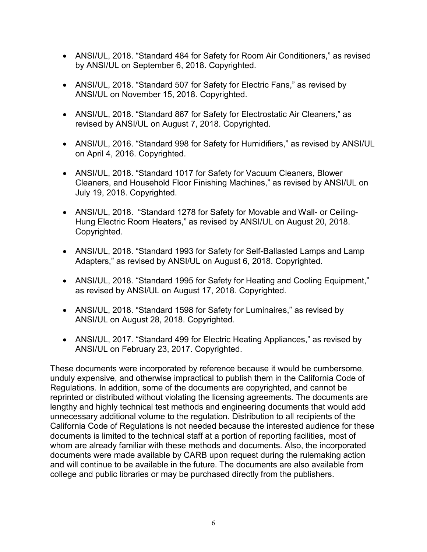- • ANSI/UL, 2018. "Standard 484 for Safety for Room Air Conditioners," as revised by ANSI/UL on September 6, 2018. Copyrighted.
- • ANSI/UL, 2018. "Standard 507 for Safety for Electric Fans," as revised by ANSI/UL on November 15, 2018. Copyrighted.
- ANSI/UL, 2018. "Standard 867 for Safety for Electrostatic Air Cleaners," as revised by ANSI/UL on August 7, 2018. Copyrighted.
- on April 4, 2016. Copyrighted. • ANSI/UL, 2016. "Standard 998 for Safety for Humidifiers," as revised by ANSI/UL
- • ANSI/UL, 2018. "Standard 1017 for Safety for Vacuum Cleaners, Blower July 19, 2018. Copyrighted. Cleaners, and Household Floor Finishing Machines," as revised by ANSI/UL on
- • ANSI/UL, 2018. "Standard 1278 for Safety for Movable and Wall- or Ceiling-Hung Electric Room Heaters," as revised by ANSI/UL on August 20, 2018. Copyrighted.
- Adapters," as revised by ANSI/UL on August 6, 2018. Copyrighted. • ANSI/UL, 2018. "Standard 1993 for Safety for Self-Ballasted Lamps and Lamp
- • ANSI/UL, 2018. "Standard 1995 for Safety for Heating and Cooling Equipment," as revised by ANSI/UL on August 17, 2018. Copyrighted.
- ANSI/UL, 2018. "Standard 1598 for Safety for Luminaires," as revised by ANSI/UL on August 28, 2018. Copyrighted.
- ANSI/UL, 2017. "Standard 499 for Electric Heating Appliances," as revised by ANSI/UL on February 23, 2017. Copyrighted.

These documents were incorporated by reference because it would be cumbersome, unduly expensive, and otherwise impractical to publish them in the California Code of Regulations. In addition, some of the documents are copyrighted, and cannot be reprinted or distributed without violating the licensing agreements. The documents are lengthy and highly technical test methods and engineering documents that would add unnecessary additional volume to the regulation. Distribution to all recipients of the California Code of Regulations is not needed because the interested audience for these documents is limited to the technical staff at a portion of reporting facilities, most of whom are already familiar with these methods and documents. Also, the incorporated documents were made available by CARB upon request during the rulemaking action and will continue to be available in the future. The documents are also available from college and public libraries or may be purchased directly from the publishers.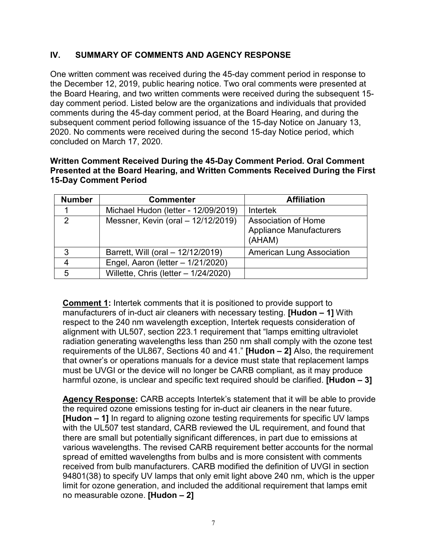# **IV. SUMMARY OF COMMENTS AND AGENCY RESPONSE**

 the December 12, 2019, public hearing notice. Two oral comments were presented at One written comment was received during the 45-day comment period in response to the Board Hearing, and two written comments were received during the subsequent 15 day comment period. Listed below are the organizations and individuals that provided comments during the 45-day comment period, at the Board Hearing, and during the subsequent comment period following issuance of the 15-day Notice on January 13, 2020. No comments were received during the second 15-day Notice period, which concluded on March 17, 2020.

#### **Written Comment Received During the 45-Day Comment Period. Oral Comment Presented at the Board Hearing, and Written Comments Received During the First 15-Day Comment Period**

| <b>Number</b> | <b>Commenter</b>                       | <b>Affiliation</b>                                              |
|---------------|----------------------------------------|-----------------------------------------------------------------|
|               | Michael Hudon (letter - 12/09/2019)    | <b>Intertek</b>                                                 |
| 2             | Messner, Kevin (oral - 12/12/2019)     | Association of Home<br><b>Appliance Manufacturers</b><br>(AHAM) |
| 3             | Barrett, Will (oral - 12/12/2019)      | <b>American Lung Association</b>                                |
| 4             | Engel, Aaron (letter - 1/21/2020)      |                                                                 |
| 5             | Willette, Chris (letter $-1/24/2020$ ) |                                                                 |

 that owner's or operations manuals for a device must state that replacement lamps must be UVGI or the device will no longer be CARB compliant, as it may produce  harmful ozone, is unclear and specific text required should be clarified. **[Hudon – 3] Comment 1:** Intertek comments that it is positioned to provide support to manufacturers of in-duct air cleaners with necessary testing. **[Hudon – 1]** With respect to the 240 nm wavelength exception, Intertek requests consideration of alignment with UL507, section 223.1 requirement that "lamps emitting ultraviolet radiation generating wavelengths less than 250 nm shall comply with the ozone test requirements of the UL867, Sections 40 and 41." **[Hudon – 2]** Also, the requirement

 the required ozone emissions testing for in-duct air cleaners in the near future. various wavelengths. The revised CARB requirement better accounts for the normal received from bulb manufacturers. CARB modified the definition of UVGI in section  no measurable ozone. **[Hudon – 2] Agency Response:** CARB accepts Intertek's statement that it will be able to provide **[Hudon – 1]** In regard to aligning ozone testing requirements for specific UV lamps with the UL507 test standard, CARB reviewed the UL requirement, and found that there are small but potentially significant differences, in part due to emissions at spread of emitted wavelengths from bulbs and is more consistent with comments 94801(38) to specify UV lamps that only emit light above 240 nm, which is the upper limit for ozone generation, and included the additional requirement that lamps emit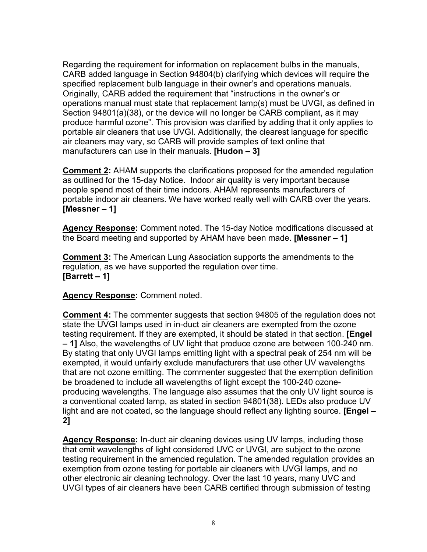operations manual must state that replacement lamp(s) must be UVGI, as defined in Section 94801(a)(38), or the device will no longer be CARB compliant, as it may portable air cleaners that use UVGI. Additionally, the clearest language for specific air cleaners may vary, so CARB will provide samples of text online that manufacturers can use in their manuals. **[Hudon – 3]**  Regarding the requirement for information on replacement bulbs in the manuals, CARB added language in Section 94804(b) clarifying which devices will require the specified replacement bulb language in their owner's and operations manuals. Originally, CARB added the requirement that "instructions in the owner's or produce harmful ozone". This provision was clarified by adding that it only applies to

 as outlined for the 15-day Notice. Indoor air quality is very important because portable indoor air cleaners. We have worked really well with CARB over the years.  **[Messner – 1] Comment 2:** AHAM supports the clarifications proposed for the amended regulation people spend most of their time indoors. AHAM represents manufacturers of

 the Board meeting and supported by AHAM have been made. **[Messner – 1] Agency Response:** Comment noted. The 15-day Notice modifications discussed at

 **[Barrett – 1] Comment 3:** The American Lung Association supports the amendments to the regulation, as we have supported the regulation over time.

**Agency Response:** Comment noted.

 By stating that only UVGI lamps emitting light with a spectral peak of 254 nm will be a conventional coated lamp, as stated in section 94801(38). LEDs also produce UV  **Comment 4:** The commenter suggests that section 94805 of the regulation does not state the UVGI lamps used in in-duct air cleaners are exempted from the ozone testing requirement. If they are exempted, it should be stated in that section. **[Engel – 1]** Also, the wavelengths of UV light that produce ozone are between 100-240 nm. exempted, it would unfairly exclude manufacturers that use other UV wavelengths that are not ozone emitting. The commenter suggested that the exemption definition be broadened to include all wavelengths of light except the 100-240 ozoneproducing wavelengths. The language also assumes that the only UV light source is light and are not coated, so the language should reflect any lighting source. **[Engel –** 

 other electronic air cleaning technology. Over the last 10 years, many UVC and **Agency Response:** In-duct air cleaning devices using UV lamps, including those that emit wavelengths of light considered UVC or UVGI, are subject to the ozone testing requirement in the amended regulation. The amended regulation provides an exemption from ozone testing for portable air cleaners with UVGI lamps, and no UVGI types of air cleaners have been CARB certified through submission of testing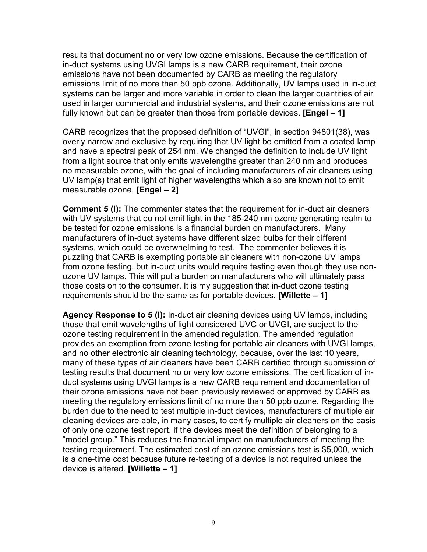in-duct systems using UVGI lamps is a new CARB requirement, their ozone emissions have not been documented by CARB as meeting the regulatory  fully known but can be greater than those from portable devices. **[Engel – 1]**  results that document no or very low ozone emissions. Because the certification of emissions limit of no more than 50 ppb ozone. Additionally, UV lamps used in in-duct systems can be larger and more variable in order to clean the larger quantities of air used in larger commercial and industrial systems, and their ozone emissions are not

 CARB recognizes that the proposed definition of "UVGI", in section 94801(38), was and have a spectral peak of 254 nm. We changed the definition to include UV light  measurable ozone. **[Engel – 2]**  overly narrow and exclusive by requiring that UV light be emitted from a coated lamp from a light source that only emits wavelengths greater than 240 nm and produces no measurable ozone, with the goal of including manufacturers of air cleaners using UV lamp(s) that emit light of higher wavelengths which also are known not to emit

 **Comment 5 (I):** The commenter states that the requirement for in-duct air cleaners be tested for ozone emissions is a financial burden on manufacturers. Many ozone UV lamps. This will put a burden on manufacturers who will ultimately pass those costs on to the consumer. It is my suggestion that in-duct ozone testing  requirements should be the same as for portable devices. **[Willette – 1]**  with UV systems that do not emit light in the 185-240 nm ozone generating realm to manufacturers of in-duct systems have different sized bulbs for their different systems, which could be overwhelming to test. The commenter believes it is puzzling that CARB is exempting portable air cleaners with non-ozone UV lamps from ozone testing, but in-duct units would require testing even though they use non-

 those that emit wavelengths of light considered UVC or UVGI, are subject to the provides an exemption from ozone testing for portable air cleaners with UVGI lamps, meeting the regulatory emissions limit of no more than 50 ppb ozone. Regarding the burden due to the need to test multiple in-duct devices, manufacturers of multiple air of only one ozone test report, if the devices meet the definition of belonging to a "model group." This reduces the financial impact on manufacturers of meeting the testing requirement. The estimated cost of an ozone emissions test is \$5,000, which **Agency Response to 5 (I):** In-duct air cleaning devices using UV lamps, including ozone testing requirement in the amended regulation. The amended regulation and no other electronic air cleaning technology, because, over the last 10 years, many of these types of air cleaners have been CARB certified through submission of testing results that document no or very low ozone emissions. The certification of induct systems using UVGI lamps is a new CARB requirement and documentation of their ozone emissions have not been previously reviewed or approved by CARB as cleaning devices are able, in many cases, to certify multiple air cleaners on the basis is a one-time cost because future re-testing of a device is not required unless the device is altered. **[Willette – 1]**